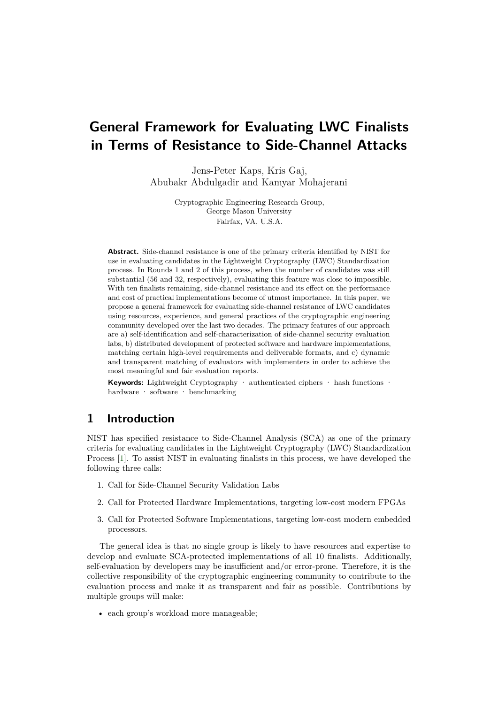# <span id="page-0-0"></span>**General Framework for Evaluating LWC Finalists in Terms of Resistance to Side-Channel Attacks**

Jens-Peter Kaps, Kris Gaj, Abubakr Abdulgadir and Kamyar Mohajerani

> Cryptographic Engineering Research Group, George Mason University Fairfax, VA, U.S.A.

**Abstract.** Side-channel resistance is one of the primary criteria identified by NIST for use in evaluating candidates in the Lightweight Cryptography (LWC) Standardization process. In Rounds 1 and 2 of this process, when the number of candidates was still substantial (56 and 32, respectively), evaluating this feature was close to impossible. With ten finalists remaining, side-channel resistance and its effect on the performance and cost of practical implementations become of utmost importance. In this paper, we propose a general framework for evaluating side-channel resistance of LWC candidates using resources, experience, and general practices of the cryptographic engineering community developed over the last two decades. The primary features of our approach are a) self-identification and self-characterization of side-channel security evaluation labs, b) distributed development of protected software and hardware implementations, matching certain high-level requirements and deliverable formats, and c) dynamic and transparent matching of evaluators with implementers in order to achieve the most meaningful and fair evaluation reports.

**Keywords:** Lightweight Cryptography · authenticated ciphers · hash functions · hardware · software · benchmarking

# **1 Introduction**

NIST has specified resistance to Side-Channel Analysis (SCA) as one of the primary criteria for evaluating candidates in the Lightweight Cryptography (LWC) Standardization Process [\[1\]](#page-14-0). To assist NIST in evaluating finalists in this process, we have developed the following three calls:

- 1. Call for Side-Channel Security Validation Labs
- 2. Call for Protected Hardware Implementations, targeting low-cost modern FPGAs
- 3. Call for Protected Software Implementations, targeting low-cost modern embedded processors.

The general idea is that no single group is likely to have resources and expertise to develop and evaluate SCA-protected implementations of all 10 finalists. Additionally, self-evaluation by developers may be insufficient and/or error-prone. Therefore, it is the collective responsibility of the cryptographic engineering community to contribute to the evaluation process and make it as transparent and fair as possible. Contributions by multiple groups will make:

• each group's workload more manageable;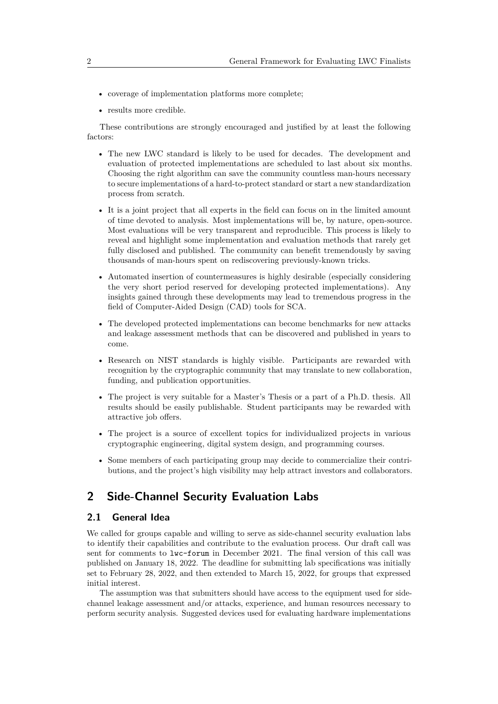- coverage of implementation platforms more complete;
- results more credible.

These contributions are strongly encouraged and justified by at least the following factors:

- The new LWC standard is likely to be used for decades. The development and evaluation of protected implementations are scheduled to last about six months. Choosing the right algorithm can save the community countless man-hours necessary to secure implementations of a hard-to-protect standard or start a new standardization process from scratch.
- It is a joint project that all experts in the field can focus on in the limited amount of time devoted to analysis. Most implementations will be, by nature, open-source. Most evaluations will be very transparent and reproducible. This process is likely to reveal and highlight some implementation and evaluation methods that rarely get fully disclosed and published. The community can benefit tremendously by saving thousands of man-hours spent on rediscovering previously-known tricks.
- Automated insertion of countermeasures is highly desirable (especially considering the very short period reserved for developing protected implementations). Any insights gained through these developments may lead to tremendous progress in the field of Computer-Aided Design (CAD) tools for SCA.
- The developed protected implementations can become benchmarks for new attacks and leakage assessment methods that can be discovered and published in years to come.
- Research on NIST standards is highly visible. Participants are rewarded with recognition by the cryptographic community that may translate to new collaboration, funding, and publication opportunities.
- The project is very suitable for a Master's Thesis or a part of a Ph.D. thesis. All results should be easily publishable. Student participants may be rewarded with attractive job offers.
- The project is a source of excellent topics for individualized projects in various cryptographic engineering, digital system design, and programming courses.
- Some members of each participating group may decide to commercialize their contributions, and the project's high visibility may help attract investors and collaborators.

# **2 Side-Channel Security Evaluation Labs**

#### **2.1 General Idea**

We called for groups capable and willing to serve as side-channel security evaluation labs to identify their capabilities and contribute to the evaluation process. Our draft call was sent for comments to lwc-forum in December 2021. The final version of this call was published on January 18, 2022. The deadline for submitting lab specifications was initially set to February 28, 2022, and then extended to March 15, 2022, for groups that expressed initial interest.

The assumption was that submitters should have access to the equipment used for sidechannel leakage assessment and/or attacks, experience, and human resources necessary to perform security analysis. Suggested devices used for evaluating hardware implementations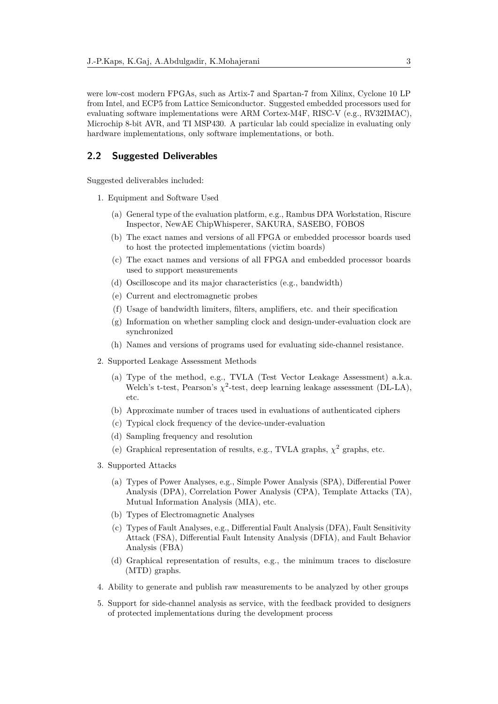were low-cost modern FPGAs, such as Artix-7 and Spartan-7 from Xilinx, Cyclone 10 LP from Intel, and ECP5 from Lattice Semiconductor. Suggested embedded processors used for evaluating software implementations were ARM Cortex-M4F, RISC-V (e.g., RV32IMAC), Microchip 8-bit AVR, and TI MSP430. A particular lab could specialize in evaluating only hardware implementations, only software implementations, or both.

#### **2.2 Suggested Deliverables**

Suggested deliverables included:

- 1. Equipment and Software Used
	- (a) General type of the evaluation platform, e.g., Rambus DPA Workstation, Riscure Inspector, NewAE ChipWhisperer, SAKURA, SASEBO, FOBOS
	- (b) The exact names and versions of all FPGA or embedded processor boards used to host the protected implementations (victim boards)
	- (c) The exact names and versions of all FPGA and embedded processor boards used to support measurements
	- (d) Oscilloscope and its major characteristics (e.g., bandwidth)
	- (e) Current and electromagnetic probes
	- (f) Usage of bandwidth limiters, filters, amplifiers, etc. and their specification
	- (g) Information on whether sampling clock and design-under-evaluation clock are synchronized
	- (h) Names and versions of programs used for evaluating side-channel resistance.
- 2. Supported Leakage Assessment Methods
	- (a) Type of the method, e.g., TVLA (Test Vector Leakage Assessment) a.k.a. Welch's t-test, Pearson's  $\chi^2$ -test, deep learning leakage assessment (DL-LA), etc.
	- (b) Approximate number of traces used in evaluations of authenticated ciphers
	- (c) Typical clock frequency of the device-under-evaluation
	- (d) Sampling frequency and resolution
	- (e) Graphical representation of results, e.g., TVLA graphs,  $\chi^2$  graphs, etc.
- 3. Supported Attacks
	- (a) Types of Power Analyses, e.g., Simple Power Analysis (SPA), Differential Power Analysis (DPA), Correlation Power Analysis (CPA), Template Attacks (TA), Mutual Information Analysis (MIA), etc.
	- (b) Types of Electromagnetic Analyses
	- (c) Types of Fault Analyses, e.g., Differential Fault Analysis (DFA), Fault Sensitivity Attack (FSA), Differential Fault Intensity Analysis (DFIA), and Fault Behavior Analysis (FBA)
	- (d) Graphical representation of results, e.g., the minimum traces to disclosure (MTD) graphs.
- 4. Ability to generate and publish raw measurements to be analyzed by other groups
- 5. Support for side-channel analysis as service, with the feedback provided to designers of protected implementations during the development process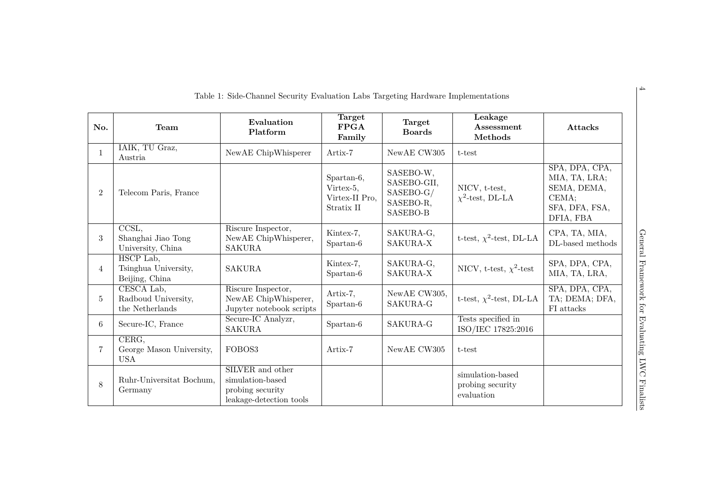<span id="page-3-0"></span>

|                |                                                      | Table 1: Side-Channel Security Evaluation Labs Targeting Hardware Implementations   |                                                         |                                                                |                                                    |                                                                                        |
|----------------|------------------------------------------------------|-------------------------------------------------------------------------------------|---------------------------------------------------------|----------------------------------------------------------------|----------------------------------------------------|----------------------------------------------------------------------------------------|
| No.            | <b>Team</b>                                          | Evaluation<br>Platform                                                              | Target<br><b>FPGA</b><br>Family                         | <b>Target</b><br><b>Boards</b>                                 | Leakage<br>Assessment<br>Methods                   | Attacks                                                                                |
| $\mathbf{1}$   | IAIK, TU Graz,<br>Austria                            | NewAE ChipWhisperer                                                                 | Artix-7                                                 | NewAE CW305                                                    | t-test                                             |                                                                                        |
| $\overline{2}$ | Telecom Paris, France                                |                                                                                     | Spartan-6,<br>Virtex-5,<br>Virtex-II Pro,<br>Stratix II | SASEBO-W,<br>SASEBO-GII,<br>SASEBO-G/<br>SASEBO-R,<br>SASEBO-B | NICV, t-test,<br>$\chi^2$ -test, DL-LA             | SPA, DPA, CPA,<br>MIA, TA, LRA;<br>SEMA, DEMA,<br>CEMA;<br>SFA, DFA, FSA,<br>DFIA, FBA |
| 3              | CCSL,<br>Shanghai Jiao Tong<br>University, China     | Riscure Inspector,<br>NewAE ChipWhisperer,<br><b>SAKURA</b>                         | Kintex-7,<br>Spartan-6                                  | SAKURA-G,<br>SAKURA-X                                          | t-test, $\chi^2$ -test, DL-LA                      | CPA, TA, MIA,<br>DL-based methods                                                      |
| 4              | HSCP Lab,<br>Tsinghua University,<br>Beijing, China  | <b>SAKURA</b>                                                                       | Kintex-7,<br>Spartan-6                                  | SAKURA-G,<br>SAKURA-X                                          | NICV, t-test, $\chi^2$ -test                       | SPA, DPA, CPA,<br>MIA, TA, LRA,                                                        |
| 5              | CESCA Lab,<br>Radboud University,<br>the Netherlands | Riscure Inspector,<br>NewAE ChipWhisperer,<br>Jupyter notebook scripts              | Artix-7,<br>Spartan-6                                   | NewAE CW305,<br>SAKURA-G                                       | t-test, $\chi^2$ -test, DL-LA                      | SPA, DPA, CPA,<br>TA; DEMA; DFA,<br>FI attacks                                         |
| 6              | Secure-IC, France                                    | Secure-IC Analyzr,<br><b>SAKURA</b>                                                 | Spartan-6                                               | SAKURA-G                                                       | Tests specified in<br>ISO/IEC 17825:2016           |                                                                                        |
| $\overline{7}$ | CERG,<br>George Mason University,<br><b>USA</b>      | FOBOS3                                                                              | Artix-7                                                 | NewAE CW305                                                    | t-test                                             |                                                                                        |
| 8              | Ruhr-Universitat Bochum,<br>Germany                  | SILVER and other<br>simulation-based<br>probing security<br>leakage-detection tools |                                                         |                                                                | simulation-based<br>probing security<br>evaluation |                                                                                        |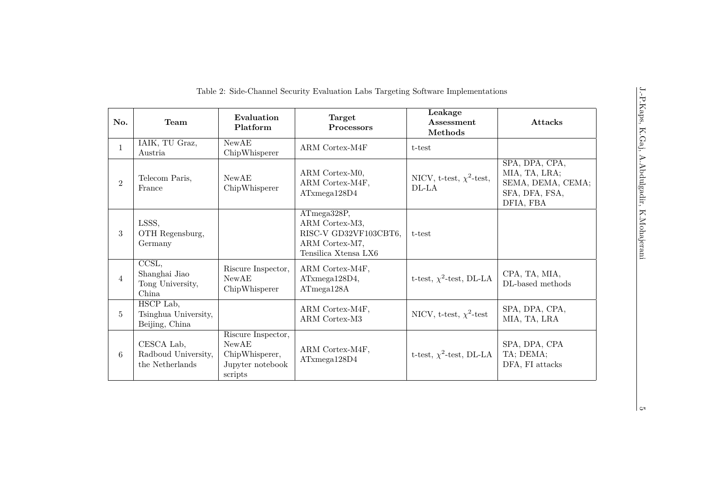<span id="page-4-0"></span>

| No.            | Team                                                                     | Evaluation<br>Platform                                                       | Target<br>Processors                                                                             | Leakage<br>Assessment<br>Methods         | <b>Attacks</b>                                                                      |
|----------------|--------------------------------------------------------------------------|------------------------------------------------------------------------------|--------------------------------------------------------------------------------------------------|------------------------------------------|-------------------------------------------------------------------------------------|
| $\mathbf{1}$   | IAIK, TU Graz,<br>Austria                                                | <b>NewAE</b><br>ChipWhisperer                                                | ARM Cortex-M4F                                                                                   | t-test                                   |                                                                                     |
| $\overline{2}$ | Telecom Paris,<br>France                                                 | NewAE<br>ChipWhisperer                                                       | ARM Cortex-M0,<br>ARM Cortex-M4F,<br>ATxmega128D4                                                | NICV, t-test, $\chi^2$ -test,<br>$DL-LA$ | SPA, DPA, CPA,<br>MIA, TA, LRA;<br>SEMA, DEMA, CEMA;<br>SFA, DFA, FSA,<br>DFIA, FBA |
| 3              | LSSS,<br>OTH Regensburg,<br>Germany                                      |                                                                              | ATmega328P,<br>ARM Cortex-M3,<br>RISC-V GD32VF103CBT6,<br>ARM Cortex-M7,<br>Tensilica Xtensa LX6 | t-test                                   |                                                                                     |
| $\overline{4}$ | $\overline{\text{CCSL}, }$<br>Shanghai Jiao<br>Tong University,<br>China | Riscure Inspector,<br><b>NewAE</b><br>ChipWhisperer                          | ARM Cortex-M4F,<br>ATxmega128D4,<br>ATmega128A                                                   | t-test, $\chi^2$ -test, DL-LA            | CPA, TA, MIA,<br>DL-based methods                                                   |
| 5              | HSCP Lab,<br>Tsinghua University,<br>Beijing, China                      |                                                                              | ARM Cortex-M4F,<br>ARM Cortex-M3                                                                 | NICV, t-test, $\chi^2$ -test             | SPA, DPA, CPA,<br>MIA, TA, LRA                                                      |
| 6              | CESCA Lab,<br>Radboud University,<br>the Netherlands                     | Riscure Inspector,<br>NewAE<br>ChipWhisperer,<br>Jupyter notebook<br>scripts | ARM Cortex-M4F,<br>ATxmega128D4                                                                  | t-test, $\chi^2$ -test, DL-LA            | SPA, DPA, CPA<br>TA; DEMA;<br>DFA, FI attacks                                       |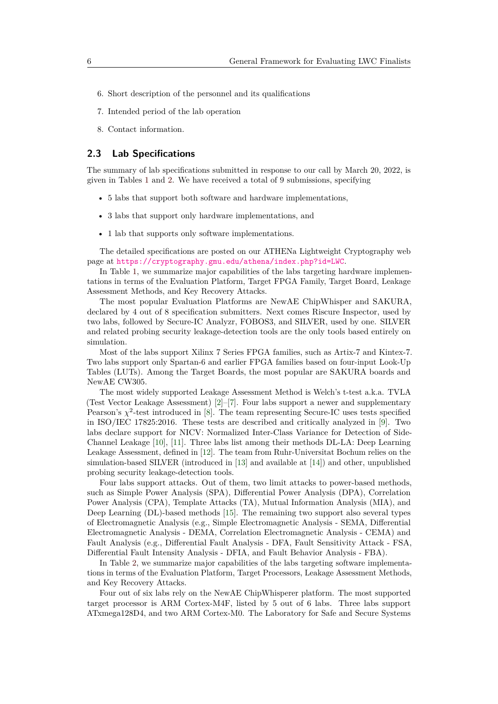- 6. Short description of the personnel and its qualifications
- 7. Intended period of the lab operation
- 8. Contact information.

#### **2.3 Lab Specifications**

The summary of lab specifications submitted in response to our call by March 20, 2022, is given in Tables [1](#page-3-0) and [2.](#page-4-0) We have received a total of 9 submissions, specifying

- 5 labs that support both software and hardware implementations,
- 3 labs that support only hardware implementations, and
- 1 lab that supports only software implementations.

The detailed specifications are posted on our ATHENa Lightweight Cryptography web page at <https://cryptography.gmu.edu/athena/index.php?id=LWC>.

In Table [1,](#page-3-0) we summarize major capabilities of the labs targeting hardware implementations in terms of the Evaluation Platform, Target FPGA Family, Target Board, Leakage Assessment Methods, and Key Recovery Attacks.

The most popular Evaluation Platforms are NewAE ChipWhisper and SAKURA, declared by 4 out of 8 specification submitters. Next comes Riscure Inspector, used by two labs, followed by Secure-IC Analyzr, FOBOS3, and SILVER, used by one. SILVER and related probing security leakage-detection tools are the only tools based entirely on simulation.

Most of the labs support Xilinx 7 Series FPGA families, such as Artix-7 and Kintex-7. Two labs support only Spartan-6 and earlier FPGA families based on four-input Look-Up Tables (LUTs). Among the Target Boards, the most popular are SAKURA boards and NewAE CW305.

The most widely supported Leakage Assessment Method is Welch's t-test a.k.a. TVLA (Test Vector Leakage Assessment) [\[2\]](#page-14-1)–[\[7\]](#page-15-0). Four labs support a newer and supplementary Pearson's  $\chi^2$ -test introduced in [\[8\]](#page-15-1). The team representing Secure-IC uses tests specified in ISO/IEC 17825:2016. These tests are described and critically analyzed in [\[9\]](#page-15-2). Two labs declare support for NICV: Normalized Inter-Class Variance for Detection of Side-Channel Leakage [\[10\]](#page-15-3), [\[11\]](#page-15-4). Three labs list among their methods DL-LA: Deep Learning Leakage Assessment, defined in [\[12\]](#page-15-5). The team from Ruhr-Universitat Bochum relies on the simulation-based SILVER (introduced in [\[13\]](#page-15-6) and available at [\[14\]](#page-15-7)) and other, unpublished probing security leakage-detection tools.

Four labs support attacks. Out of them, two limit attacks to power-based methods, such as Simple Power Analysis (SPA), Differential Power Analysis (DPA), Correlation Power Analysis (CPA), Template Attacks (TA), Mutual Information Analysis (MIA), and Deep Learning (DL)-based methods [\[15\]](#page-15-8). The remaining two support also several types of Electromagnetic Analysis (e.g., Simple Electromagnetic Analysis - SEMA, Differential Electromagnetic Analysis - DEMA, Correlation Electromagnetic Analysis - CEMA) and Fault Analysis (e.g., Differential Fault Analysis - DFA, Fault Sensitivity Attack - FSA, Differential Fault Intensity Analysis - DFIA, and Fault Behavior Analysis - FBA).

In Table [2,](#page-4-0) we summarize major capabilities of the labs targeting software implementations in terms of the Evaluation Platform, Target Processors, Leakage Assessment Methods, and Key Recovery Attacks.

Four out of six labs rely on the NewAE ChipWhisperer platform. The most supported target processor is ARM Cortex-M4F, listed by 5 out of 6 labs. Three labs support ATxmega128D4, and two ARM Cortex-M0. The Laboratory for Safe and Secure Systems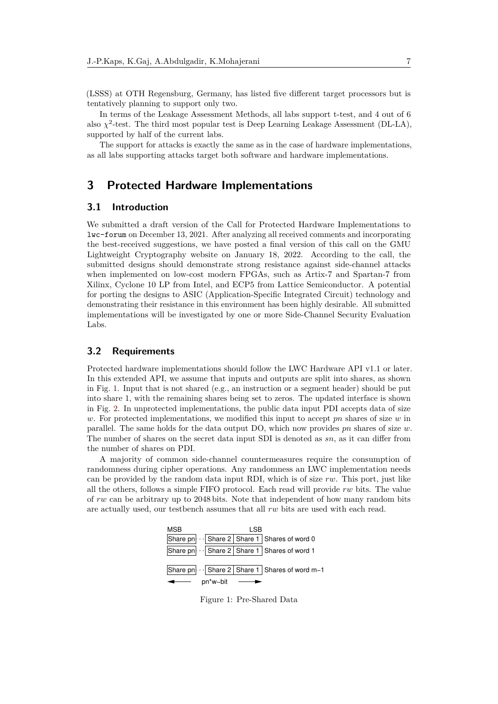(LSSS) at OTH Regensburg, Germany, has listed five different target processors but is tentatively planning to support only two.

In terms of the Leakage Assessment Methods, all labs support t-test, and 4 out of 6 also  $\chi^2$ -test. The third most popular test is Deep Learning Leakage Assessment (DL-LA), supported by half of the current labs.

The support for attacks is exactly the same as in the case of hardware implementations, as all labs supporting attacks target both software and hardware implementations.

# **3 Protected Hardware Implementations**

#### **3.1 Introduction**

We submitted a draft version of the Call for Protected Hardware Implementations to lwc-forum on December 13, 2021. After analyzing all received comments and incorporating the best-received suggestions, we have posted a final version of this call on the GMU Lightweight Cryptography website on January 18, 2022. According to the call, the submitted designs should demonstrate strong resistance against side-channel attacks when implemented on low-cost modern FPGAs, such as Artix-7 and Spartan-7 from Xilinx, Cyclone 10 LP from Intel, and ECP5 from Lattice Semiconductor. A potential for porting the designs to ASIC (Application-Specific Integrated Circuit) technology and demonstrating their resistance in this environment has been highly desirable. All submitted implementations will be investigated by one or more Side-Channel Security Evaluation Labs.

#### **3.2 Requirements**

Protected hardware implementations should follow the LWC Hardware API v1.1 or later. In this extended API, we assume that inputs and outputs are split into shares, as shown in Fig. [1.](#page-6-0) Input that is not shared (e.g., an instruction or a segment header) should be put into share 1, with the remaining shares being set to zeros. The updated interface is shown in Fig. [2.](#page-7-0) In unprotected implementations, the public data input PDI accepts data of size *w*. For protected implementations, we modified this input to accept *pn* shares of size *w* in parallel. The same holds for the data output DO, which now provides *pn* shares of size *w*. The number of shares on the secret data input SDI is denoted as *sn*, as it can differ from the number of shares on PDI.

<span id="page-6-0"></span>A majority of common side-channel countermeasures require the consumption of randomness during cipher operations. Any randomness an LWC implementation needs can be provided by the random data input RDI, which is of size *rw*. This port, just like all the others, follows a simple FIFO protocol. Each read will provide *rw* bits. The value of *rw* can be arbitrary up to 2048 bits. Note that independent of how many random bits are actually used, our testbench assumes that all *rw* bits are used with each read.



Figure 1: Pre-Shared Data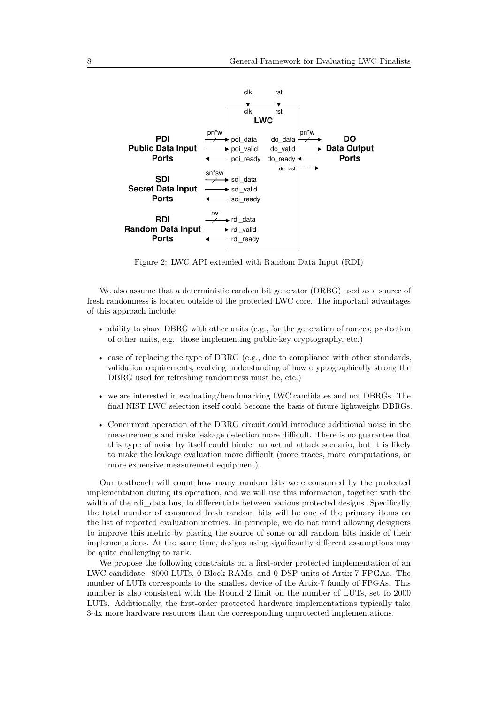<span id="page-7-0"></span>

Figure 2: LWC API extended with Random Data Input (RDI)

We also assume that a deterministic random bit generator (DRBG) used as a source of fresh randomness is located outside of the protected LWC core. The important advantages of this approach include:

- ability to share DBRG with other units (e.g., for the generation of nonces, protection of other units, e.g., those implementing public-key cryptography, etc.)
- ease of replacing the type of DBRG (e.g., due to compliance with other standards, validation requirements, evolving understanding of how cryptographically strong the DBRG used for refreshing randomness must be, etc.)
- we are interested in evaluating/benchmarking LWC candidates and not DBRGs. The final NIST LWC selection itself could become the basis of future lightweight DBRGs.
- Concurrent operation of the DBRG circuit could introduce additional noise in the measurements and make leakage detection more difficult. There is no guarantee that this type of noise by itself could hinder an actual attack scenario, but it is likely to make the leakage evaluation more difficult (more traces, more computations, or more expensive measurement equipment).

Our testbench will count how many random bits were consumed by the protected implementation during its operation, and we will use this information, together with the width of the rdi data bus, to differentiate between various protected designs. Specifically, the total number of consumed fresh random bits will be one of the primary items on the list of reported evaluation metrics. In principle, we do not mind allowing designers to improve this metric by placing the source of some or all random bits inside of their implementations. At the same time, designs using significantly different assumptions may be quite challenging to rank.

We propose the following constraints on a first-order protected implementation of an LWC candidate: 8000 LUTs, 0 Block RAMs, and 0 DSP units of Artix-7 FPGAs. The number of LUTs corresponds to the smallest device of the Artix-7 family of FPGAs. This number is also consistent with the Round 2 limit on the number of LUTs, set to 2000 LUTs. Additionally, the first-order protected hardware implementations typically take 3-4x more hardware resources than the corresponding unprotected implementations.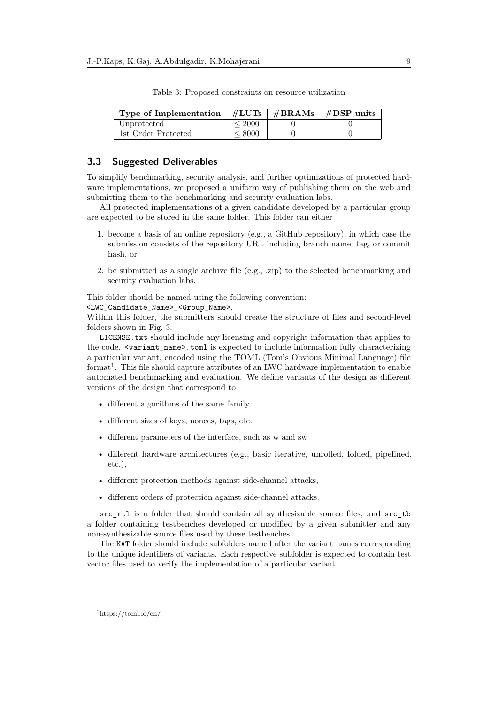| Type of Implementation $\frac{1}{2}$ #LUTs $\frac{1}{2}$ #BRAMs $\frac{1}{2}$ #DSP units |            |  |
|------------------------------------------------------------------------------------------|------------|--|
| Unprotected                                                                              | ${}<$ 2000 |  |
| 1st Order Protected                                                                      | ${}< 8000$ |  |

Table 3: Proposed constraints on resource utilization

#### **3.3 Suggested Deliverables**

To simplify benchmarking, security analysis, and further optimizations of protected hardware implementations, we proposed a uniform way of publishing them on the web and submitting them to the benchmarking and security evaluation labs.

All protected implementations of a given candidate developed by a particular group are expected to be stored in the same folder. This folder can either

- 1. become a basis of an online repository (e.g., a GitHub repository), in which case the submission consists of the repository URL including branch name, tag, or commit hash, or
- 2. be submitted as a single archive file (e.g., .zip) to the selected benchmarking and security evaluation labs.

This folder should be named using the following convention:

<LWC\_Candidate\_Name>\_<Group\_Name>.

Within this folder, the submitters should create the structure of files and second-level folders shown in Fig. [3.](#page-9-0)

LICENSE.txt should include any licensing and copyright information that applies to the code.  $\langle \text{variant name} \rangle$ .toml is expected to include information fully characterizing a particular variant, encoded using the TOML (Tom's Obvious Minimal Language) file format<sup>[1](#page-0-0)</sup>. This file should capture attributes of an LWC hardware implementation to enable automated benchmarking and evaluation. We define variants of the design as different versions of the design that correspond to

- different algorithms of the same family
- different sizes of keys, nonces, tags, etc.
- different parameters of the interface, such as w and sw
- different hardware architectures (e.g., basic iterative, unrolled, folded, pipelined, etc.),
- different protection methods against side-channel attacks,
- different orders of protection against side-channel attacks.

src rtl is a folder that should contain all synthesizable source files, and src tb a folder containing testbenches developed or modified by a given submitter and any non-synthesizable source files used by these testbenches.

The KAT folder should include subfolders named after the variant names corresponding to the unique identifiers of variants. Each respective subfolder is expected to contain test vector files used to verify the implementation of a particular variant.

<sup>1</sup>https://toml.io/en/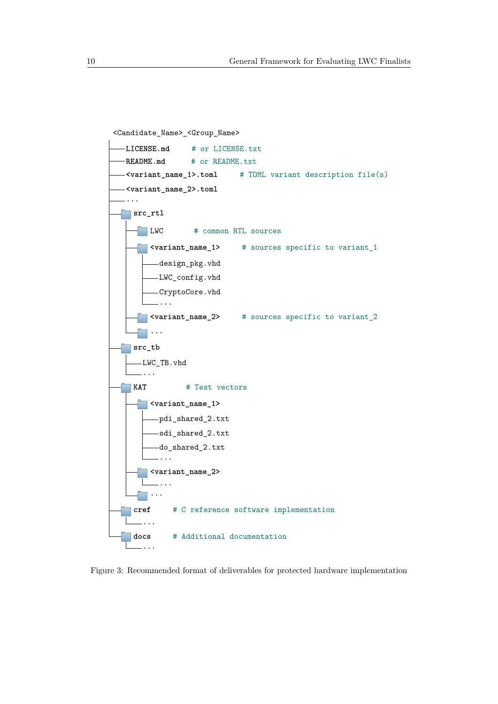<span id="page-9-0"></span>

Figure 3: Recommended format of deliverables for protected hardware implementation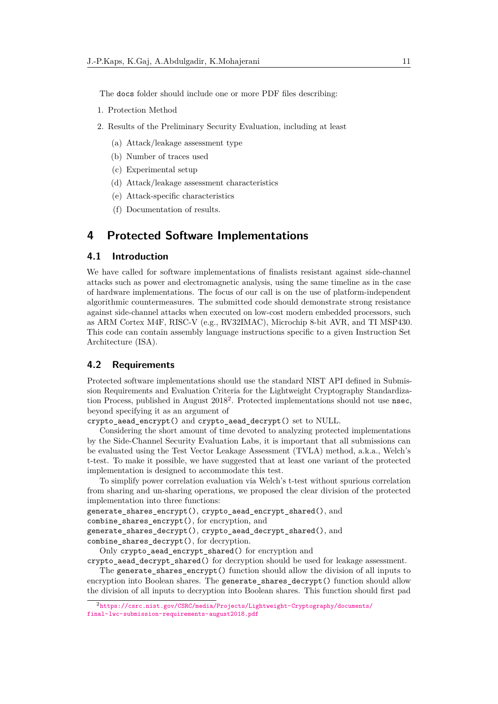The docs folder should include one or more PDF files describing:

- 1. Protection Method
- 2. Results of the Preliminary Security Evaluation, including at least
	- (a) Attack/leakage assessment type
	- (b) Number of traces used
	- (c) Experimental setup
	- (d) Attack/leakage assessment characteristics
	- (e) Attack-specific characteristics
	- (f) Documentation of results.

# **4 Protected Software Implementations**

#### **4.1 Introduction**

We have called for software implementations of finalists resistant against side-channel attacks such as power and electromagnetic analysis, using the same timeline as in the case of hardware implementations. The focus of our call is on the use of platform-independent algorithmic countermeasures. The submitted code should demonstrate strong resistance against side-channel attacks when executed on low-cost modern embedded processors, such as ARM Cortex M4F, RISC-V (e.g., RV32IMAC), Microchip 8-bit AVR, and TI MSP430. This code can contain assembly language instructions specific to a given Instruction Set Architecture (ISA).

#### **4.2 Requirements**

Protected software implementations should use the standard NIST API defined in Submission Requirements and Evaluation Criteria for the Lightweight Cryptography Standardization Process, published in August  $2018^2$  $2018^2$ . Protected implementations should not use nsec, beyond specifying it as an argument of

crypto\_aead\_encrypt() and crypto\_aead\_decrypt() set to NULL.

Considering the short amount of time devoted to analyzing protected implementations by the Side-Channel Security Evaluation Labs, it is important that all submissions can be evaluated using the Test Vector Leakage Assessment (TVLA) method, a.k.a., Welch's t-test. To make it possible, we have suggested that at least one variant of the protected implementation is designed to accommodate this test.

To simplify power correlation evaluation via Welch's t-test without spurious correlation from sharing and un-sharing operations, we proposed the clear division of the protected implementation into three functions:

```
generate_shares_encrypt(), crypto_aead_encrypt_shared(), and
```

```
combine_shares_encrypt(), for encryption, and
```
generate\_shares\_decrypt(), crypto\_aead\_decrypt\_shared(), and

combine\_shares\_decrypt(), for decryption.

Only crypto\_aead\_encrypt\_shared() for encryption and

crypto\_aead\_decrypt\_shared() for decryption should be used for leakage assessment.

The generate\_shares\_encrypt() function should allow the division of all inputs to encryption into Boolean shares. The generate\_shares\_decrypt() function should allow the division of all inputs to decryption into Boolean shares. This function should first pad

<sup>2</sup>[https://csrc.nist.gov/CSRC/media/Projects/Lightweight-Cryptography/documents/](https://csrc.nist.gov/CSRC/media/Projects/Lightweight-Cryptography/documents/final-lwc-submission-requirements-august2018.pdf) [final-lwc-submission-requirements-august2018.pdf](https://csrc.nist.gov/CSRC/media/Projects/Lightweight-Cryptography/documents/final-lwc-submission-requirements-august2018.pdf)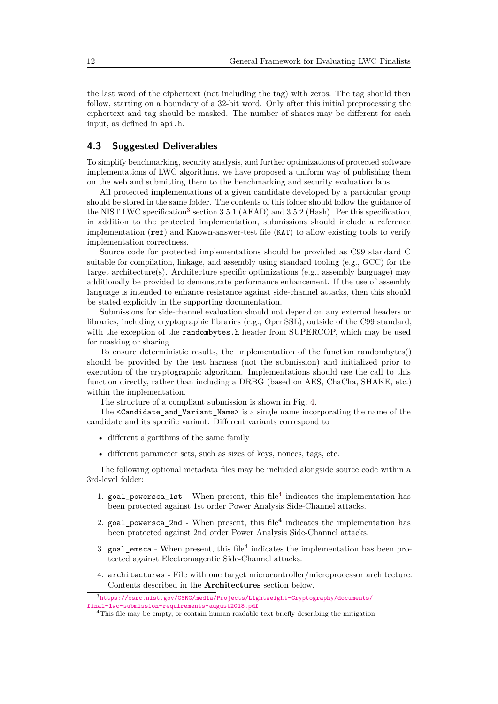the last word of the ciphertext (not including the tag) with zeros. The tag should then follow, starting on a boundary of a 32-bit word. Only after this initial preprocessing the ciphertext and tag should be masked. The number of shares may be different for each input, as defined in api.h.

#### **4.3 Suggested Deliverables**

To simplify benchmarking, security analysis, and further optimizations of protected software implementations of LWC algorithms, we have proposed a uniform way of publishing them on the web and submitting them to the benchmarking and security evaluation labs.

All protected implementations of a given candidate developed by a particular group should be stored in the same folder. The contents of this folder should follow the guidance of the NIST LWC specification<sup>[3](#page-0-0)</sup> section 3.5.1 (AEAD) and 3.5.2 (Hash). Per this specification, in addition to the protected implementation, submissions should include a reference implementation (ref) and Known-answer-test file (KAT) to allow existing tools to verify implementation correctness.

Source code for protected implementations should be provided as C99 standard C suitable for compilation, linkage, and assembly using standard tooling (e.g., GCC) for the target architecture(s). Architecture specific optimizations (e.g., assembly language) may additionally be provided to demonstrate performance enhancement. If the use of assembly language is intended to enhance resistance against side-channel attacks, then this should be stated explicitly in the supporting documentation.

Submissions for side-channel evaluation should not depend on any external headers or libraries, including cryptographic libraries (e.g., OpenSSL), outside of the C99 standard, with the exception of the randombytes.h header from SUPERCOP, which may be used for masking or sharing.

To ensure deterministic results, the implementation of the function randombytes() should be provided by the test harness (not the submission) and initialized prior to execution of the cryptographic algorithm. Implementations should use the call to this function directly, rather than including a DRBG (based on AES, ChaCha, SHAKE, etc.) within the implementation.

The structure of a compliant submission is shown in Fig. [4.](#page-12-0)

The <Candidate\_and\_Variant\_Name> is a single name incorporating the name of the candidate and its specific variant. Different variants correspond to

- different algorithms of the same family
- different parameter sets, such as sizes of keys, nonces, tags, etc.

The following optional metadata files may be included alongside source code within a 3rd-level folder:

- 1.  $goal\_powersca_1st$  When present, this file<sup>[4](#page-0-0)</sup> indicates the implementation has been protected against 1st order Power Analysis Side-Channel attacks.
- 2. goal\_powersca\_2nd When present, this file<sup>4</sup> indicates the implementation has been protected against 2nd order Power Analysis Side-Channel attacks.
- 3.  $goal_{emsca}$  When present, this file<sup>4</sup> indicates the implementation has been protected against Electromagentic Side-Channel attacks.
- 4. architectures File with one target microcontroller/microprocessor architecture. Contents described in the **Architectures** section below.

<sup>3</sup>[https://csrc.nist.gov/CSRC/media/Projects/Lightweight-Cryptography/documents/](https://csrc.nist.gov/CSRC/media/Projects/Lightweight-Cryptography/documents/final-lwc-submission-requirements-august2018.pdf) [final-lwc-submission-requirements-august2018.pdf](https://csrc.nist.gov/CSRC/media/Projects/Lightweight-Cryptography/documents/final-lwc-submission-requirements-august2018.pdf)

<sup>4</sup>This file may be empty, or contain human readable text briefly describing the mitigation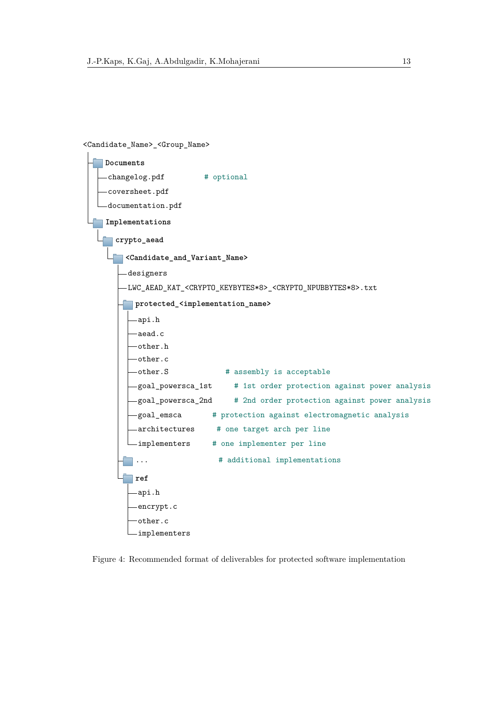<span id="page-12-0"></span><Candidate\_Name>\_<Group\_Name>

| Documents                                                                                            |
|------------------------------------------------------------------------------------------------------|
| changelog.pdf<br># optional                                                                          |
| -coversheet.pdf                                                                                      |
| -documentation.pdf                                                                                   |
| Implementations                                                                                      |
| crypto_aead                                                                                          |
| <candidate_and_variant_name></candidate_and_variant_name>                                            |
| designers                                                                                            |
| -LWC_AEAD_KAT_ <crypto_keybytes*8>_<crypto_npubbytes*8>.txt</crypto_npubbytes*8></crypto_keybytes*8> |
| protected_ <implementation_name></implementation_name>                                               |
| -api.h                                                                                               |
| aead.c                                                                                               |
| other.h                                                                                              |
| -other.c                                                                                             |
| other.S<br># assembly is acceptable                                                                  |
| -goal_powersca_1st<br># 1st order protection against power analysis                                  |
| # 2nd order protection against power analysis<br>-goal_powersca_2nd                                  |
| -goal_emsca<br># protection against electromagnetic analysis                                         |
| -architectures # one target arch per line                                                            |
| -implementers<br># one implementer per line                                                          |
| # additional implementations                                                                         |
| ref                                                                                                  |
| -api.h                                                                                               |
| -encrypt.c                                                                                           |
| other.c                                                                                              |
| implementers                                                                                         |

Figure 4: Recommended format of deliverables for protected software implementation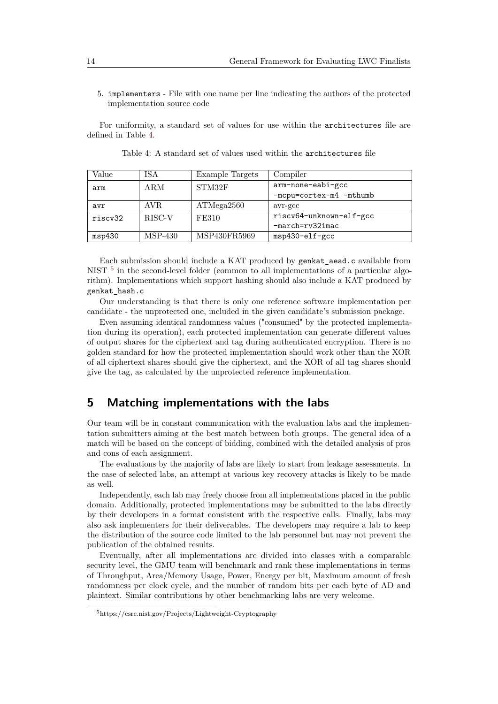5. implementers - File with one name per line indicating the authors of the protected implementation source code

<span id="page-13-0"></span>For uniformity, a standard set of values for use within the architectures file are defined in Table [4.](#page-13-0)

| Value   | ISA     | Example Targets | Compiler                |
|---------|---------|-----------------|-------------------------|
| arm     | ARM     | STM32F          | arm-none-eabi-gcc       |
|         |         |                 | -mcpu=cortex-m4 -mthumb |
| avr     | AVR.    | ATMega2560      | avr-gcc                 |
| riscv32 | RISC-V  | <b>FE310</b>    | riscv64-unknown-elf-gcc |
|         |         |                 | $-march=rv32imac$       |
| msp430  | MSP-430 | MSP430FR5969    | msp430-elf-gcc          |

Each submission should include a KAT produced by genkat\_aead.c available from NIST<sup>[5](#page-0-0)</sup> in the second-level folder (common to all implementations of a particular algorithm). Implementations which support hashing should also include a KAT produced by genkat\_hash.c

Our understanding is that there is only one reference software implementation per candidate - the unprotected one, included in the given candidate's submission package.

Even assuming identical randomness values ("consumed" by the protected implementation during its operation), each protected implementation can generate different values of output shares for the ciphertext and tag during authenticated encryption. There is no golden standard for how the protected implementation should work other than the XOR of all ciphertext shares should give the ciphertext, and the XOR of all tag shares should give the tag, as calculated by the unprotected reference implementation.

# **5 Matching implementations with the labs**

Our team will be in constant communication with the evaluation labs and the implementation submitters aiming at the best match between both groups. The general idea of a match will be based on the concept of bidding, combined with the detailed analysis of pros and cons of each assignment.

The evaluations by the majority of labs are likely to start from leakage assessments. In the case of selected labs, an attempt at various key recovery attacks is likely to be made as well.

Independently, each lab may freely choose from all implementations placed in the public domain. Additionally, protected implementations may be submitted to the labs directly by their developers in a format consistent with the respective calls. Finally, labs may also ask implementers for their deliverables. The developers may require a lab to keep the distribution of the source code limited to the lab personnel but may not prevent the publication of the obtained results.

Eventually, after all implementations are divided into classes with a comparable security level, the GMU team will benchmark and rank these implementations in terms of Throughput, Area/Memory Usage, Power, Energy per bit, Maximum amount of fresh randomness per clock cycle, and the number of random bits per each byte of AD and plaintext. Similar contributions by other benchmarking labs are very welcome.

<sup>5</sup>https://csrc.nist.gov/Projects/Lightweight-Cryptography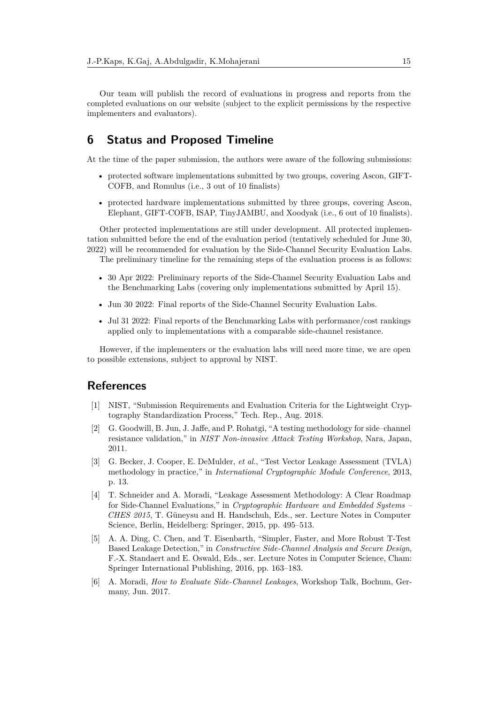Our team will publish the record of evaluations in progress and reports from the completed evaluations on our website (subject to the explicit permissions by the respective implementers and evaluators).

# **6 Status and Proposed Timeline**

At the time of the paper submission, the authors were aware of the following submissions:

- protected software implementations submitted by two groups, covering Ascon, GIFT-COFB, and Romulus (i.e., 3 out of 10 finalists)
- protected hardware implementations submitted by three groups, covering Ascon, Elephant, GIFT-COFB, ISAP, TinyJAMBU, and Xoodyak (i.e., 6 out of 10 finalists).

Other protected implementations are still under development. All protected implementation submitted before the end of the evaluation period (tentatively scheduled for June 30, 2022) will be recommended for evaluation by the Side-Channel Security Evaluation Labs. The preliminary timeline for the remaining steps of the evaluation process is as follows:

- 30 Apr 2022: Preliminary reports of the Side-Channel Security Evaluation Labs and the Benchmarking Labs (covering only implementations submitted by April 15).
- Jun 30 2022: Final reports of the Side-Channel Security Evaluation Labs.
- Jul 31 2022: Final reports of the Benchmarking Labs with performance/cost rankings applied only to implementations with a comparable side-channel resistance.

However, if the implementers or the evaluation labs will need more time, we are open to possible extensions, subject to approval by NIST.

### **References**

- <span id="page-14-0"></span>[1] NIST, "Submission Requirements and Evaluation Criteria for the Lightweight Cryptography Standardization Process," Tech. Rep., Aug. 2018.
- <span id="page-14-1"></span>[2] G. Goodwill, B. Jun, J. Jaffe, and P. Rohatgi, "A testing methodology for side–channel resistance validation," in *NIST Non-invasive Attack Testing Workshop*, Nara, Japan, 2011.
- [3] G. Becker, J. Cooper, E. DeMulder, *et al.*, "Test Vector Leakage Assessment (TVLA) methodology in practice," in *International Cryptographic Module Conference*, 2013, p. 13.
- [4] T. Schneider and A. Moradi, "Leakage Assessment Methodology: A Clear Roadmap for Side-Channel Evaluations," in *Cryptographic Hardware and Embedded Systems – CHES 2015*, T. Güneysu and H. Handschuh, Eds., ser. Lecture Notes in Computer Science, Berlin, Heidelberg: Springer, 2015, pp. 495–513.
- [5] A. A. Ding, C. Chen, and T. Eisenbarth, "Simpler, Faster, and More Robust T-Test Based Leakage Detection," in *Constructive Side-Channel Analysis and Secure Design*, F.-X. Standaert and E. Oswald, Eds., ser. Lecture Notes in Computer Science, Cham: Springer International Publishing, 2016, pp. 163–183.
- [6] A. Moradi, *How to Evaluate Side-Channel Leakages*, Workshop Talk, Bochum, Germany, Jun. 2017.